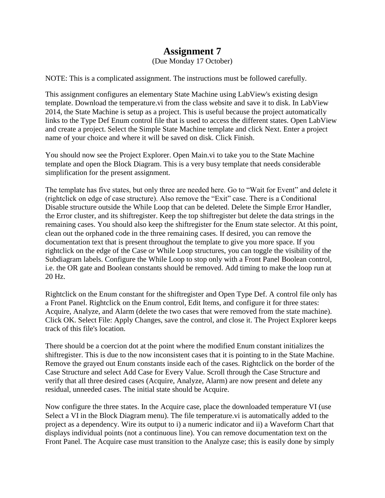## **Assignment 7**

(Due Monday 17 October)

NOTE: This is a complicated assignment. The instructions must be followed carefully.

This assignment configures an elementary State Machine using LabView's existing design template. Download the temperature.vi from the class website and save it to disk. In LabView 2014, the State Machine is setup as a project. This is useful because the project automatically links to the Type Def Enum control file that is used to access the different states. Open LabView and create a project. Select the Simple State Machine template and click Next. Enter a project name of your choice and where it will be saved on disk. Click Finish.

You should now see the Project Explorer. Open Main.vi to take you to the State Machine template and open the Block Diagram. This is a very busy template that needs considerable simplification for the present assignment.

The template has five states, but only three are needed here. Go to "Wait for Event" and delete it (rightclick on edge of case structure). Also remove the "Exit" case. There is a Conditional Disable structure outside the While Loop that can be deleted. Delete the Simple Error Handler, the Error cluster, and its shiftregister. Keep the top shiftregister but delete the data strings in the remaining cases. You should also keep the shiftregister for the Enum state selector. At this point, clean out the orphaned code in the three remaining cases. If desired, you can remove the documentation text that is present throughout the template to give you more space. If you rightclick on the edge of the Case or While Loop structures, you can toggle the visibility of the Subdiagram labels. Configure the While Loop to stop only with a Front Panel Boolean control, i.e. the OR gate and Boolean constants should be removed. Add timing to make the loop run at 20 Hz.

Rightclick on the Enum constant for the shiftregister and Open Type Def. A control file only has a Front Panel. Rightclick on the Enum control, Edit Items, and configure it for three states: Acquire, Analyze, and Alarm (delete the two cases that were removed from the state machine). Click OK. Select File: Apply Changes, save the control, and close it. The Project Explorer keeps track of this file's location.

There should be a coercion dot at the point where the modified Enum constant initializes the shiftregister. This is due to the now inconsistent cases that it is pointing to in the State Machine. Remove the grayed out Enum constants inside each of the cases. Rightclick on the border of the Case Structure and select Add Case for Every Value. Scroll through the Case Structure and verify that all three desired cases (Acquire, Analyze, Alarm) are now present and delete any residual, unneeded cases. The initial state should be Acquire.

Now configure the three states. In the Acquire case, place the downloaded temperature VI (use Select a VI in the Block Diagram menu). The file temperature vi is automatically added to the project as a dependency. Wire its output to i) a numeric indicator and ii) a Waveform Chart that displays individual points (not a continuous line). You can remove documentation text on the Front Panel. The Acquire case must transition to the Analyze case; this is easily done by simply